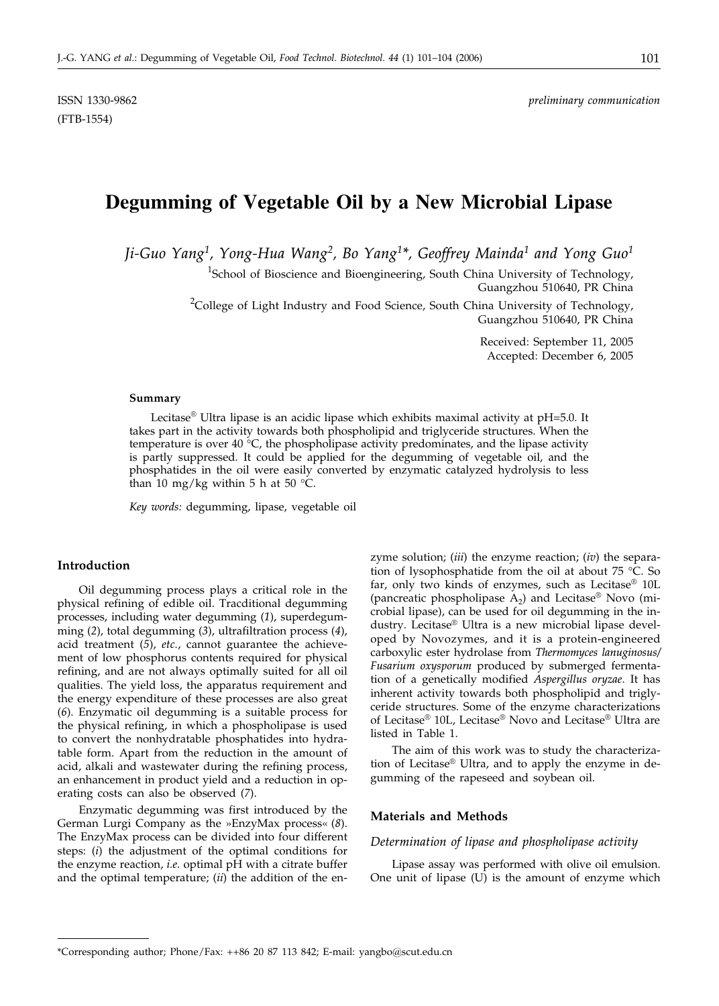# **Degumming of Vegetable Oil by a New Microbial Lipase**

*Ji-Guo Yang1, Yong-Hua Wang2, Bo Yang1\*, Geoffrey Mainda1 and Yong Guo1*

<sup>1</sup>School of Bioscience and Bioengineering, South China University of Technology, Guangzhou 510640, PR China

 $^{2}$ College of Light Industry and Food Science, South China University of Technology, Guangzhou 510640, PR China

> Received: September 11, 2005 Accepted: December 6, 2005

#### **Summary**

Lecitase® Ultra lipase is an acidic lipase which exhibits maximal activity at pH=5.0. It takes part in the activity towards both phospholipid and triglyceride structures. When the temperature is over 40 °C, the phospholipase activity predominates, and the lipase activity is partly suppressed. It could be applied for the degumming of vegetable oil, and the phosphatides in the oil were easily converted by enzymatic catalyzed hydrolysis to less than 10 mg/kg within 5 h at 50  $\degree$ C.

*Key words:* degumming, lipase, vegetable oil

# **Introduction**

Oil degumming process plays a critical role in the physical refining of edible oil. Tracditional degumming processes, including water degumming (*1*), superdegumming (*2*), total degumming (*3*), ultrafiltration process (*4*), acid treatment (*5*), *etc.*, cannot guarantee the achievement of low phosphorus contents required for physical refining, and are not always optimally suited for all oil qualities. The yield loss, the apparatus requirement and the energy expenditure of these processes are also great (*6*). Enzymatic oil degumming is a suitable process for the physical refining, in which a phospholipase is used to convert the nonhydratable phosphatides into hydratable form. Apart from the reduction in the amount of acid, alkali and wastewater during the refining process, an enhancement in product yield and a reduction in operating costs can also be observed (*7*).

Enzymatic degumming was first introduced by the German Lurgi Company as the »EnzyMax process« (*8*). The EnzyMax process can be divided into four different steps: (*i*) the adjustment of the optimal conditions for the enzyme reaction, *i.e*. optimal pH with a citrate buffer and the optimal temperature; (*ii*) the addition of the enzyme solution; (*iii*) the enzyme reaction; (*iv*) the separation of lysophosphatide from the oil at about 75 °C. So far, only two kinds of enzymes, such as Lecitase® 10L (pancreatic phospholipase  $A_2$ ) and Lecitase<sup>®</sup> Novo (microbial lipase), can be used for oil degumming in the industry. Lecitase® Ultra is a new microbial lipase developed by Novozymes, and it is a protein-engineered carboxylic ester hydrolase from *Thermomyces lanuginosus/ Fusarium oxysporum* produced by submerged fermentation of a genetically modified *Aspergillus oryzae*. It has inherent activity towards both phospholipid and triglyceride structures. Some of the enzyme characterizations of Lecitase® 10L, Lecitase® Novo and Lecitase® Ultra are listed in Table 1.

The aim of this work was to study the characterization of Lecitase® Ultra, and to apply the enzyme in degumming of the rapeseed and soybean oil.

#### **Materials and Methods**

#### *Determination of lipase and phospholipase activity*

Lipase assay was performed with olive oil emulsion. One unit of lipase (U) is the amount of enzyme which

<sup>\*</sup>Corresponding author; Phone/Fax: ++86 20 87 113 842; E-mail: yangbo@scut.edu.cn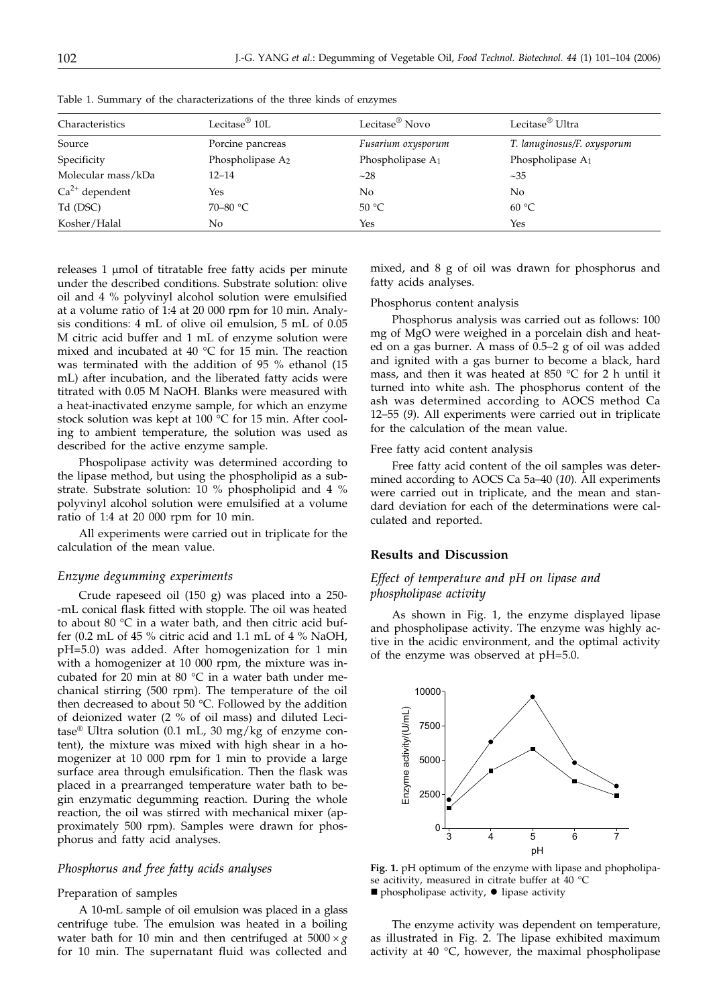| Characteristics     | Lecitase $^{\circledR}$ 10L  | Lecitase <sup>®</sup> Novo | Lecitase <sup>®</sup> Ultra |  |
|---------------------|------------------------------|----------------------------|-----------------------------|--|
| Source              | Porcine pancreas             | Fusarium oxysporum         | T. lanuginosus/F. oxysporum |  |
| Specificity         | Phospholipase A <sub>2</sub> | Phospholipase $A_1$        | Phospholipase $A_1$         |  |
| Molecular mass/kDa  | $12 - 14$                    | ~28                        | $\sim$ 35                   |  |
| $Ca^{2+}$ dependent | Yes                          | No                         | No                          |  |
| Td (DSC)            | 70–80 $\degree$ C            | 50 °C                      | 60 °C                       |  |
| Kosher/Halal        | No                           | Yes                        | Yes                         |  |

Table 1. Summary of the characterizations of the three kinds of enzymes

releases 1 µmol of titratable free fatty acids per minute under the described conditions. Substrate solution: olive oil and 4 % polyvinyl alcohol solution were emulsified at a volume ratio of 1:4 at 20 000 rpm for 10 min. Analysis conditions: 4 mL of olive oil emulsion, 5 mL of 0.05 M citric acid buffer and 1 mL of enzyme solution were mixed and incubated at 40 °C for 15 min. The reaction was terminated with the addition of 95 % ethanol (15 mL) after incubation, and the liberated fatty acids were titrated with 0.05 M NaOH. Blanks were measured with a heat-inactivated enzyme sample, for which an enzyme stock solution was kept at 100 °C for 15 min. After cooling to ambient temperature, the solution was used as described for the active enzyme sample.

Phospolipase activity was determined according to the lipase method, but using the phospholipid as a substrate. Substrate solution: 10 % phospholipid and 4 % polyvinyl alcohol solution were emulsified at a volume ratio of 1:4 at 20 000 rpm for 10 min.

All experiments were carried out in triplicate for the calculation of the mean value.

#### *Enzyme degumming experiments*

Crude rapeseed oil (150 g) was placed into a 250- -mL conical flask fitted with stopple. The oil was heated to about 80 °C in a water bath, and then citric acid buffer (0.2 mL of 45 % citric acid and 1.1 mL of 4 % NaOH, pH=5.0) was added. After homogenization for 1 min with a homogenizer at 10 000 rpm, the mixture was incubated for  $20$  min at 80 °C in a water bath under mechanical stirring (500 rpm). The temperature of the oil then decreased to about 50 °C. Followed by the addition of deionized water (2 % of oil mass) and diluted Lecitase<sup>®</sup> Ultra solution (0.1 mL, 30 mg/kg of enzyme content), the mixture was mixed with high shear in a homogenizer at 10 000 rpm for 1 min to provide a large surface area through emulsification. Then the flask was placed in a prearranged temperature water bath to begin enzymatic degumming reaction. During the whole reaction, the oil was stirred with mechanical mixer (approximately 500 rpm). Samples were drawn for phosphorus and fatty acid analyses.

# *Phosphorus and free fatty acids analyses*

#### Preparation of samples

A 10-mL sample of oil emulsion was placed in a glass centrifuge tube. The emulsion was heated in a boiling water bath for 10 min and then centrifuged at  $5000 \times g$ for 10 min. The supernatant fluid was collected and

mixed, and 8 g of oil was drawn for phosphorus and fatty acids analyses.

#### Phosphorus content analysis

Phosphorus analysis was carried out as follows: 100 mg of MgO were weighed in a porcelain dish and heated on a gas burner. A mass of 0.5–2 g of oil was added and ignited with a gas burner to become a black, hard mass, and then it was heated at 850 °C for 2 h until it turned into white ash. The phosphorus content of the ash was determined according to AOCS method Ca 12–55 (*9*). All experiments were carried out in triplicate for the calculation of the mean value.

#### Free fatty acid content analysis

Free fatty acid content of the oil samples was determined according to AOCS Ca 5a–40 (*10*). All experiments were carried out in triplicate, and the mean and standard deviation for each of the determinations were calculated and reported.

## **Results and Discussion**

# *Effect of temperature and pH on lipase and phospholipase activity*

As shown in Fig. 1, the enzyme displayed lipase and phospholipase activity. The enzyme was highly active in the acidic environment, and the optimal activity of the enzyme was observed at pH=5.0.



**Fig. 1.** pH optimum of the enzyme with lipase and phopholipase acitivity, measured in citrate buffer at 40  $^{\circ}$ C  $\blacksquare$  phospholipase activity,  $\lozenge$  lipase activity

The enzyme activity was dependent on temperature, as illustrated in Fig. 2. The lipase exhibited maximum activity at  $40^{\circ}$ C, however, the maximal phospholipase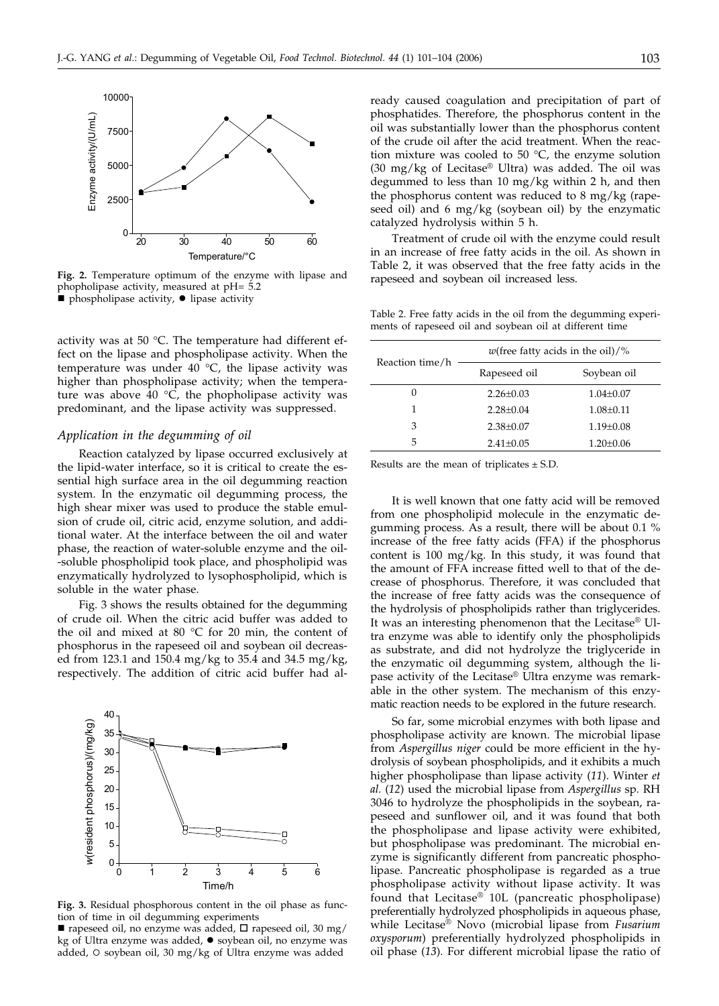

**Fig. 2.** Temperature optimum of the enzyme with lipase and phopholipase activity, measured at pH= 5.2 **Phospholipase activity, · lipase activity** 

activity was at 50 °C. The temperature had different effect on the lipase and phospholipase activity. When the temperature was under 40  $^{\circ}$ C, the lipase activity was higher than phospholipase activity; when the temperature was above 40  $\degree$ C, the phopholipase activity was predominant, and the lipase activity was suppressed.

#### *Application in the degumming of oil*

Reaction catalyzed by lipase occurred exclusively at the lipid-water interface, so it is critical to create the essential high surface area in the oil degumming reaction system. In the enzymatic oil degumming process, the high shear mixer was used to produce the stable emulsion of crude oil, citric acid, enzyme solution, and additional water. At the interface between the oil and water phase, the reaction of water-soluble enzyme and the oil- -soluble phospholipid took place, and phospholipid was enzymatically hydrolyzed to lysophospholipid, which is soluble in the water phase.

Fig. 3 shows the results obtained for the degumming of crude oil. When the citric acid buffer was added to the oil and mixed at 80 °C for 20 min, the content of phosphorus in the rapeseed oil and soybean oil decreased from 123.1 and 150.4 mg/kg to 35.4 and 34.5 mg/kg, respectively. The addition of citric acid buffer had al-



**Fig. 3.** Residual phosphorous content in the oil phase as function of time in oil degumming experiments

rapeseed oil, no enzyme was added,  $\Box$  rapeseed oil, 30 mg/ kg of Ultra enzyme was added,  $\bullet$  soybean oil, no enzyme was added,  $\circ$  soybean oil, 30 mg/kg of Ultra enzyme was added

ready caused coagulation and precipitation of part of phosphatides. Therefore, the phosphorus content in the oil was substantially lower than the phosphorus content of the crude oil after the acid treatment. When the reaction mixture was cooled to 50  $^{\circ}$ C, the enzyme solution (30 mg/kg of Lecitase® Ultra) was added. The oil was degummed to less than 10 mg/kg within 2 h, and then the phosphorus content was reduced to 8 mg/kg (rapeseed oil) and 6 mg/kg (soybean oil) by the enzymatic catalyzed hydrolysis within 5 h.

Treatment of crude oil with the enzyme could result in an increase of free fatty acids in the oil. As shown in Table 2, it was observed that the free fatty acids in the rapeseed and soybean oil increased less.

Table 2. Free fatty acids in the oil from the degumming experiments of rapeseed oil and soybean oil at different time

| Reaction time/h | <i>w</i> (free fatty acids in the oil)/% |                 |  |
|-----------------|------------------------------------------|-----------------|--|
|                 | Rapeseed oil                             | Soybean oil     |  |
| $\theta$        | $2.26 \pm 0.03$                          | $1.04 \pm 0.07$ |  |
|                 | $2.28 + 0.04$                            | $1.08 \pm 0.11$ |  |
| 3               | $2.38 \pm 0.07$                          | $1.19 \pm 0.08$ |  |
| 5               | $2.41 \pm 0.05$                          | $1.20 \pm 0.06$ |  |

Results are the mean of triplicates  $\pm$  S.D.

It is well known that one fatty acid will be removed from one phospholipid molecule in the enzymatic degumming process. As a result, there will be about 0.1 % increase of the free fatty acids (FFA) if the phosphorus content is 100 mg/kg. In this study, it was found that the amount of FFA increase fitted well to that of the decrease of phosphorus. Therefore, it was concluded that the increase of free fatty acids was the consequence of the hydrolysis of phospholipids rather than triglycerides. It was an interesting phenomenon that the Lecitase® Ultra enzyme was able to identify only the phospholipids as substrate, and did not hydrolyze the triglyceride in the enzymatic oil degumming system, although the lipase activity of the Lecitase® Ultra enzyme was remarkable in the other system. The mechanism of this enzymatic reaction needs to be explored in the future research.

So far, some microbial enzymes with both lipase and phospholipase activity are known. The microbial lipase from *Aspergillus niger* could be more efficient in the hydrolysis of soybean phospholipids, and it exhibits a much higher phospholipase than lipase activity (*11*). Winter *et al.* (*12*) used the microbial lipase from *Aspergillus* sp*.* RH 3046 to hydrolyze the phospholipids in the soybean, rapeseed and sunflower oil, and it was found that both the phospholipase and lipase activity were exhibited, but phospholipase was predominant. The microbial enzyme is significantly different from pancreatic phospholipase. Pancreatic phospholipase is regarded as a true phospholipase activity without lipase activity. It was found that Lecitase® 10L (pancreatic phospholipase) preferentially hydrolyzed phospholipids in aqueous phase, while Lecitase® Novo (microbial lipase from *Fusarium oxysporum*) preferentially hydrolyzed phospholipids in oil phase (*13*). For different microbial lipase the ratio of